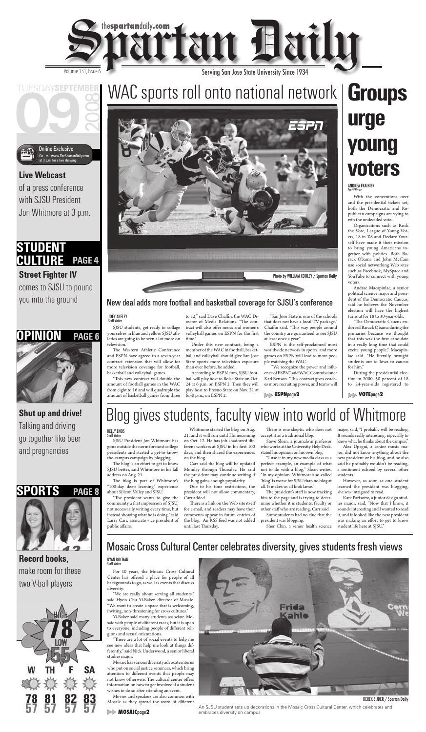## TUESDAY**SEPTEMBER 09**<br> **09**<br> **09**<br> **09**<br> **09**<br> **09**<br> **09**<br> **09**<br> **09** 2008

**Online Exclusive**<br> **Go** to www.TheSparts<br>
at 3 p.m. for a live showi Go to www.TheSpartanDaily.com  $: 3$  p.m. for a live showing



## **STUDENT CULTURE PAGE 4**

**Street Fighter IV** comes to SJSU to pound you into the ground

#### ANDREA FRAINIER Staff Writer

With the conventions over and the presidential tickets set, both the Democratic and Republican campaigns are vying to win the undecided vote.

Organizations such as Rock the Vote, League of Young Voters, 18 in '08 and Declare Yourself have made it their mission to bring young Americans together with politics. Both Barack Obama and John McCain use social networking Web sites such as Facebook, MySpace and YouTube to connect with young voters.

"The Democratic Caucus endorsed Barack Obama during the primaries because we thought that this was the first candidate in a really long time that could excite young people," Macapinlac said. "He literally brought students out to Iowa to caucus for him."

The Western Athletic Conference and ESPN have agreed to a seven-year contract extension that will allow for more television coverage for football, basketball and volleyball games.

Andrae Macapinlac, a senior political science major and president of the Democratic Caucus, said he believes the November election will have the highest turnout for 18 to 30-year-olds.

"This new contract will double the amount of football games in the WAC from eight to 16 and will quadruple the amount of basketball games from three

to 12," said Dave Chaffin, the WAC Director of Media Relations. "The contract will also offer men's and women's volleyball games on ESPN for the first time."

> During the presidential election in 2000, 50 percent of 18 to 24-year-olds registered to

SJSU students, get ready to collage yourselves in blue and yellow. SJSU athletics are going to be seen a lot more on television.

> "We recognize the power and influence of ESPN," said WAC Commissioner Karl Benson. "This contract gives coaches more recruiting power, and teams will

"There are a lot of social events to help me see new ideas that help me look at things differently," said Nick Underwood, a senior liberal studies major.

Mosaic has various diversity advocate interns who put on social justice seminars, which bring attention to different events that people may not know otherwise. The cultural center offers information on how to get involved if a student wishes to do so after attending an event.

Movies and speakers are also common with Mosaic as they spread the word of different

Under this new contract, being a member of the WAC in football, basketball and volleyball should give San Jose State sports more television exposure than ever before, he added.

According to ESPN.com, SJSU football will play host to Boise State on Oct. 24 at 6 p.m. on ESPN 2. Then they will play host to Fresno State on Nov. 21 at 6:30 p.m., on ESPN 2.

"San Jose State is one of the schools that does not have a local TV package," Chaffin said. "This way people around the country are guaranteed to see SJSU at least once a year."

ESPN is the self-proclaimed most worldwide network in sports, and more games on ESPN will lead to more people watching the WAC.

### JOEY AKELEY Staff Writer

## Mosaic Cross Cultural Center celebrates diversity, gives students fresh views

For 10 years, the Mosaic Cross Cultural Center has offered a place for people of all backgrounds to go, as well as events that discuss diversity.

"We are really about serving all students," said Hyon Chu Yi-Baker, director of Mosaic. "We want to create a space that is welcoming, inviting, non-threatening for cross cultures."

Yi-Baker said many students associate Mosaic with people of different races, but it is open to everyone, including people of different religions and sexual orientations.



SJSU President Jon Whitmore has gone outside the norm for most college presidents and started a get-to-knowthe-campus campaign by blogging. The blog is an effort to get to know SJSU better, said Whitmore in his fall address on Aug. 21. The blog is part of Whitmore's "100-day deep learning" experience about Silicon Valley and SJSU. "The president wants to give the community a first impression of SJSU, not necessarily writing every time, but instead showing what he is doing," said Larry Carr, associate vice president of public affairs. Whitmore started the blog on Aug. 21, and it will run until Homecoming on Oct. 12. He has job-shadowed different workers at SJSU in his first 100 days, and then shared the experiences on the blog. Carr said the blog will be updated Monday through Thursday. He said the president may continue writing if the blog gains enough popularity. Due to his time restrictions, the president will not allow commentary, Carr added. There is a link on the Web site itself for e-mail, and readers may have their comments appear in future entries of the blog. An RSS feed was not added until last Thursday. There is one skeptic who does not accept it as a traditional blog. Steve Sloan, a journalism professor who works at the University Help Desk, stated his opinion on his own blog. "I use it in my new media class as a perfect example, an example of what not to do with a blog," Sloan writes. "In my opinion, Whitmore's so-called 'blog' is worse for SJSU than no blog at all. It makes us all look lame." The president's staff is now tracking hits to the page and is trying to determine whether it is students, faculty or other staff who are reading, Carr said. Some students had no clue that the president was blogging. Sher Chin, a senior health science major, said, "I probably will be reading. It sounds really interesting, especially to know what he thinks about the campus." Alex Upegui, a senior music major, did not know anything about the new president or his blog, and he also said he probably wouldn't be reading, a sentiment echoed by several other students. However, as soon as one student learned the president was blogging, she was intrigued to read. Kate Parisotto, a junior design studies major, said, "Now that I know, it sounds interesting and I wanted to read it, and it looked like the new president was making an effort to get to know student life here at SJSU." KELLY ENOS Staff Writer Blog gives students, faculty view into world of Whitmore

## RYAN BUCHAN Staff Writer

## New deal adds more football and basketball coverage for SJSU's conference



DEREK SIJDER / Spartan Daily

An SJSU student sets up decorations in the Mosaic Cross Cultural Center, which celebrates and embraces diversity on campus.

### **ESPN**page**2**

**MOSAIC**page**2**

**VOTE**page**2**

# **SPORTS PAGE 8**

**Record books,** make room for these two V-ball players





**Shut up and drive!** Talking and driving go together like beer and pregnancies

## WAC sports roll onto national network

**Live Webcast** of a press conference with SJSU President Jon Whitmore at 3 p.m.

## **Groups urge young voters**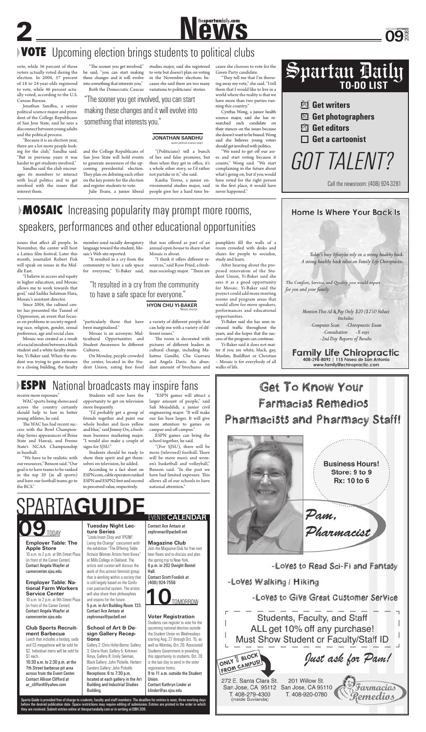

TUESDAY**SEPTEMBER 09** 2008

**Employer Table: The** 

**Apple Store**

**09** 

10 a.m. to 2 p.m. at 9th Street Plaza (in front of the Career Center). Contact Angela Wayfer at careercenter.sjsu.edu

**Club Sports Recruitment Barbecue**  Lunch that includes a hotdog, soda and CS megaphone will be sold for \$2. Individual items will be sold for

**Employer Table: National Farm Workers Service Center**

10 a.m. to 2 p.m. at 9th Street Plaza (in front of the Career Center). Contact Angela Wayfer at careercenter.sjsu.edu

\$1 each.

10:30 a.m. to 2:30 p.m. at the 7th Street barbecue pit area across from the Event Center. Contact Allison Clifford at ar\_clifford@yahoo.com

**Tuesday Night Lec-**

**ture Series**

"Linda Inson Choy and 'IPGIM':

Living the Change" concurrent with the exhibition "The Offering Table: Activist Women Artists from Korea" at Mills College in Oakland. The artists and curator will discuss the work of this activist feminist group that is working within a society that is still largely based on the Confucian patriarchal system. The artists will also share their philosophies and visions for the future. 5 p.m. in Art Building Room 133. Contact Ace Antazo at zephronas@pacbell.net

### **School of Art & Design Gallery Receptions**

WAC sports being showcased across the country certainly should help to lure in better

young athletes, he said. The WAC has had recent suc-

> Gallery 2: Chris Hofer-Borror, Gallery 3: Gloria Huet, Gallery 5: Kirkman Amyx, Gallery 8: Emily Seeman, Black Gallery: John Pickelle, Herbert Sanders Gallery: John Pickelle Receptions: 6 to 7:30 p.m. located at each gallery in the Art Building and Industrial Studies Building.

Contact Ace Antazo at zephronas@pacbell.net

### **Magazine Club**

Join the Magazine Club for free root beer floats and to discuss and plan the spring trip to New York. 6 p.m. in 202 Dwight Bentel Hall. Contact Scott Fosdick at (408) 924-7556

### **Voter Registration**

"(For SJSU), there will be more (televised) football. There will be more men's and women's basketball and volleyball," Benson said. "In the past we have had limited exposure. This allows all of our schools to have national attention."

## SPARTAGUIDE

Students can register to vote for the upcoming national election outside the Student Union on Wednesdays starting Aug. 27 through Oct. 15, as well as Monday, Oct. 20. Associated Students Government is providing this opportunity to students. Oct. 20 is the last day to send in the voter registration forms. 9 to 11 a.m. outside the Student Union. Contact Kathryn Linder at klinder@as.sjsu.edu

issues that affect all people. In November, the center will host a Latino film festival. Later this month, journalist Robert Fisk will speak on issues in the Middle East.

Sparta Guide is provided free of charge to students, faculty and staff members. The deadline for entries is noon, three working days before the desired publication date. Space restrictions may require editing of submission. Entries are printed in the order in which they are received. Submit entries online at thespartandaily.com or in writing at DBH 209.



-Loves to Give Great Customer Service

Students, Faculty, and Staff ALL get 10% off any purchase! Must Show Student or Faculty/Staff ID



Just ask for Pam!

umacias

redios

272 E. Santa Clara St. San Jose, CA 95112 San Jose, CA 95110 T. 408-279-4300 (inside Suvianda)

201 Willow St. T. 408-920-0780

**10**TOMORROW

receive more exposure."

annual open house to share what Mosaic is about. "I think it offers different re-

that was offered as part of an

sources," said Rose Fried, a freshman sociology major. "There are

"particularly those that have a variety of different people that can help me with a variety of different issues."

cess with the Bowl Championship Series appearances of Boise State and Hawaii, and Fresno State's NCAA Championship in baseball.

The room is decorated with pictures of different leaders in cultural change, including Mahatma Gandhi, Che Guevara and Angela Davis. An abundant amount of brochures and pamphlets fill the walls of a room crowded with desks and chairs for people to socialize, study and learn.

"We have to be realistic with our resources," Benson said. "Our goal is to have teams to be ranked in the top 20 (in all sports) and have our football teams go to the BCS."

Students will now have the more frequently.

friends together and paint our our fan base larger. It will give whole bodies and faces yellow more attention to games on and blue," said Jimmy On, a freshman business marketing major. "I would also make a couple of signs for SJSU."

opportunity to get on television larger amount of people," said "I'd probably get a group of engineering major. "It will make "ESPN games will attract a Safi Mojaddidi, a junior civil

Students should be ready to show their spirit and get themselves on television, he added.

According to a fact sheet on ESPN.com, cable operators ranked ESPN and ESPN2 first and second in perceived value, respectively.

"The sooner you get involved," he said, "you can start making these changes and it will evolve into something that interests you." Both the Democratic Caucus

campus and off campus."

ESPN games can bring the school together, he said.

## **ESPN** National broadcasts may inspire fans

"They tell me that I'm throwing away my vote," she said. "I tell them that I would like to live in a world where the reality is that we have more than two parties running this country."

"I believe in access and equity in higher education, and Mosaic allows me to work towards that goal," said Sadika Sulaiman Hara, Mosaic's assistant director.

Since 2004, the cultural center has presented the Tunnel of Oppression, an event that focuses on problems in society regarding race, religion, gender, sexual preference, age and social class.

Mosaic was created as a result of a racial incident between a black student and a white faculty member, Yi-Baker said. When the student was trying to gain entrance to a closing building, the faculty

member used racially derogatory language toward the student, Mosaic's Web site reported.

"It resulted in a cry from the community to have a safe space for everyone," Yi-Baker said,

been marginalized."

Mosaic is an acronym: Multicultural Opportunities and Student Awareness In different Cultures.

On Monday, people crowded the center, located in the Student Union, eating free food

After hearing about the proposed renovation of the Student Union, Yi-Baker said she sees it as a good opportunity for Mosaic. Yi-Baker said the project could add more meeting rooms and program areas that would allow for more speakers, performances and educational opportunities.

Yi-Baker said she has seen increased traffic throughout the years, and she hopes that the success of the program can continue.

Yi-Baker said it does not mat-

Get To Know Your Farmacias Remedios Pharmacists and Pharmacy Staff!

ter if you are white, black, gay, Muslim, Buddhist or Christian – Mosaic is for everybody of all walks of life.

Today's busy lifestyles rely on a strong healthy back. A strong healthy back relies on Family Life Chiropractic.

The Comfort, Service, and Quality you would expect for you and your family.

> Mention This Ad & Pay Only \$20 (\$250 Value) Includes: -Computer Scan - Chiropractic Exam -Consultation -X-rays 2nd Day Reports of Results

**Family Life Chiropractic** 408-298-8092 | 115 Paseo de San Antonio www.familylifechiropractic.com

speakers, performances and other educational opportunities

vote, while 36 percent of those voters actually voted during the election. In 2004, 57 percent of 18 to 24-year-olds registered to vote, while 46 percent actually voted, according to the U.S. Census Bureau.

Jonathan Sandhu, a senior political science major and president of the College Republicans of San Jose State, said he sees a disconnect between young adults and the political process.

"Because it is an election year, there are a lot more people looking for the club," Sandhu said. "But in previous years it was harder to get students involved."

Sandhu said the club encourages its members to interact with local politics and to get involved with the issues that interest them.

and the College Republicans of San Jose State will hold events to generate awareness of the upcoming presidential election. They plan on debating each other on the key points for the election and register students to vote.

Julie Evans, a junior liberal

**MOSAIC** Increasing popularity may prompt more rooms,

studies major, said she registered to vote but doesn't plan on voting in the November elections because she said there are too many variations to politicians' stories.

"(Politicians) tell a bunch of lies and false promises, but then when they get in office, it's a whole other story, so I'd rather not partake in it," she said.

Kaisha Torres, a junior environmental studies major, said people give her a hard time because she chooses to vote for the Green Party candidate.

Cynthia Wong, a junior health science major, said she has researched each candidate on their stances on the issues because she doesn't want to be biased. Wong said she believes young voters should get involved with politics.

"We need to get off our asses and start voting because it counts," Wong said. "We start complaining in the future about what's going on, but if you would have voted for the right person in the first place, it would have never happened."

## **VOTE** Upcoming election brings students to political clubs

## "It resulted in a cry from the community to have a safe space for everyone."

**HYON CHU YI-BAKER** Mosaic director

"The sooner you get involved, you can start making these changes and it will evolve into something that interests you."

#### **JONATHAN SANDHU** senior political science major



# Spartan Daily **TO-DO LIST**

Call the newsroom: (408) 924-3281

## Home Is Where Your Back Is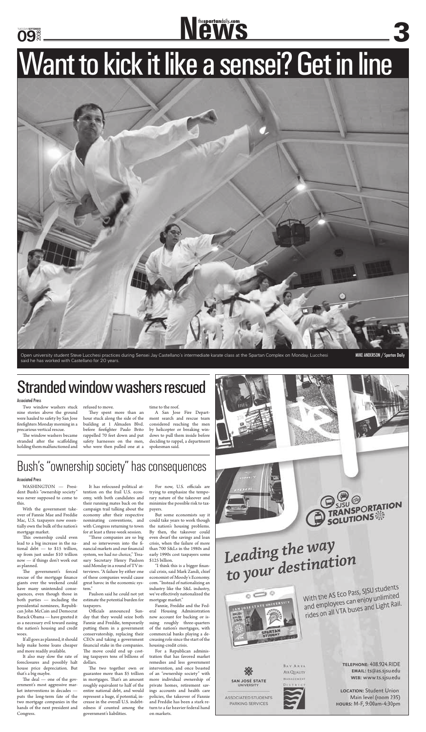

Open university student Steve Lucchesi practices during Sensei Jay Castellano's intermediate karate class at the Spartan Complex on Monday. Lucchesi **MIKE ANDERSON / Spartan Daily** said he has worked with Castellano for 20 years.

## Stranded window washers rescued

# Want to kick it like a sensei? Get in line



This ownership could even lead to a big increase in the national debt — to \$15 trillion, up from just under \$10 trillion now — if things don't work out as planned.

WASHINGTON — President Bush's "ownership society" was never supposed to come to this.

With the government takeover of Fannie Mae and Freddie Mac, U.S. taxpayers now essentially own the bulk of the nation's mortgage market.

The government's forced rescue of the mortgage finance giants over the weekend could have many unintended consequences, even though those in both parties — including the presidential nominees, Republican John McCain and Democrat Barack Obama — have greeted it as a necessary evil toward easing the nation's housing and credit woes.

The deal  $-$  one of the government's most aggressive market interventions in decades puts the long-term fate of the two mortgage companies in the hands of the next president and Congress.

"These companies are so big and so interwoven into the financial markets and our financial system, we had no choice," Treasury Secretary Henry Paulson said Monday in a round of TV interviews. "A failure by either one of these companies would cause great havoc in the economic system."

If all goes as planned, it should help make home loans cheaper and more readily available.

Officials announced Sunday that they would seize both Fannie and Freddie, temporarily putting them in a government conservatorship, replacing their CEOs and taking a government financial stake in the companies. The move could end up costing taxpayers tens of billions of dollars.

It also may slow the rate of foreclosures and possibly halt house price depreciation. But that's a big maybe.

The two together own or guarantee more than \$5 trillion in mortgages. That's an amount roughly equivalent to half of the entire national debt, and would represent a huge, if potential, increase in the overall U.S. indebtedness if counted among the government's liabilities.

For now, U.S. officials are trying to emphasize the temporary nature of the takeover and minimize the possible risk to taxpayers.

It has refocused political attention on the frail U.S. economy, with both candidates and their running mates back on the campaign trail talking about the economy after their respective nominating conventions, and with Congress returning to town for at least a three-week session.

> "I think this is a bigger financial crisis, said Mark Zandi, chief economist of Moody's Economy. com. "Instead of nationalizing an industry like the S&L industry, we've effectively nationalized the mortgage market."

The window washers became stranded after the scaffolding holding them malfunctioned and

> Paulson said he could not yet estimate the potential burden for taxpayers.

before firefighter Paulo Brito by helicopter or breaking winrappelled 70 feet down and put safety harnesses on the men, who were then pulled one at a

> But some economists say it could take years to work though the nation's housing problems. By then, the takeover could even dwarf the savings and loan crisis, when the failure of more than 700 S&Ls in the 1980s and early 1990s cost taxpayers some \$125 billion.

> Fannie, Freddie and the Federal Housing Administration now account for backing or issuing roughly three-quarters of the nation's mortgages, with commercial banks playing a decreasing role since the start of the housing-credit crisis.

> For a Republican administration that has favored market remedies and less government intervention, and once boasted of an "ownership society" with more individual ownership of private homes, retirement savings accounts and health care policies, the takeover of Fannie and Freddie has been a stark return to a far heavier federal hand on markets.

# Leading the way<br>to your destination

**BAY AREA** 

**AIK QUALITY** 

MANAGEMENT

DILTRIC!



With the AS Eco Pass, SJSU students with the AS Eco Pass, SJSU studented<br>and employees can enjoy unlimited and employees can enjoy unimited<br>rides on all VTA buses and Light Rail.

**BUST & REATION** 



ASSOCIATED STUDENTS PARKING SERVICES

TELEPHONE: 408.924.RIDE EMAIL: ts@as.sjsu.edu WEB: www.ts.sjsu.edu

LOCATION: Student Union Main level (room 235) HOURS: M-F, 9:00am-4:30pm

precarious vertical rescue.

Two window washers stuck refused to move. nine stories above the ground were hauled to safety by San Jose hour stuck along the side of the ment search and rescue team

firefighters Monday morning in a building at 1 Almaden Blvd. considered reaching the men

time to the roof.

They spent more than an A San Jose Fire Depart-







dows to pull them inside before deciding to rappel, a department spokesman said.

## Bush's "ownership society" has consequences

### Associated Press

**09** 

#### Associated Press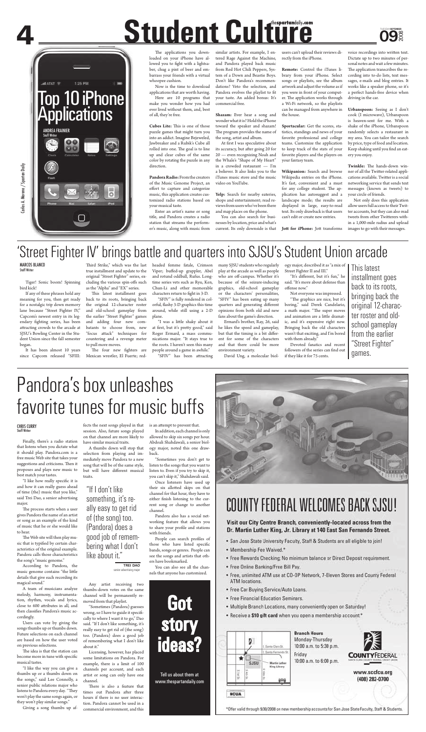Finally, there's a radio station that listens when you dictate what it should play. Pandora.com is a free music Web site that takes your suggestions and criticisms. Then it proposes and plays new music to best match your tastes.

"I like how really specific it is and how it can really guess ahead of time (the) music that you like," said Trei Dao, a senior advertising major.

The process starts when a user gives Pandora the name of an artist or song as an example of the kind of music that he or she would like to hear.

The Web site will then play music that is typified by certain characteristics of the original example. Pandora calls those characteristics the song's "music genome."

The idea is that the station can become more in tune with specific musical tastes.

According to Pandora, the music genome contains "the little details that give each recording its magical sound."

A team of musicians analyze melody, harmony, instrumentation, rhythm, vocals and lyrics, close to 400 attributes in all, and then classifies Pandora's music accordingly.

Users can vote by giving the songs thumbs up or thumbs down. Future selections on each channel are based on how the user voted on previous selections.

> There is also a feature that times out Pandora after three hours if there is no user interaction. Pandora cannot be used in a commercial environment, and this

"I like the way you can give a thumbs up or a thumbs down on the songs," said Lee Connolly, a senior public relations major who listens to Pandora every day. "They won't play the same songs again, or they won't play similar songs."

Giving a song thumbs up af-

Any artist receiving two thumbs-down votes on the same channel will be permanently removed from that playlist.

Third Strike," which was the last true installment and update to the original "Street Fighter" series, excluding the various spin-offs such as the "Alpha" and "EX" series.

"Sometimes (Pandora) guesses wrong, so I have to guide it specifically to where I want it to go," Dao said. "If I don't like something, it's really easy to get rid of (the song) too. (Pandora) does a good job of remembering what I don't like about it."

This latest installment goes back to its roots, bringing back the original 12-character roster and old-school gameplay from the earlier "Street Fighter" games and adding four new combatants to choose from, new "focus attack" techniques for countering and a revenge meter to pull more moves.

The four new fighters are Mexican wrestler, El Fuerte; redheaded femme fatale, Crimson Viper; buffed-up grappler, Abel and rotund oddball, Rufus. Longtime series vets such as Ryu, Ken, Chun-Li and other memorable characters return to fight in 3-D.

Licensing, however, has placed some limitations on Pandora. For example, there is a limit of 100 channels per account, and each artist or song can only have one channel.

The applications you downloaded on your iPhone have allowed you to fight with a lightsaber, chug a pint of beer and embarrass your friends with a virtual whoopee cushion.

You can also see all the channels that anyone has customized.

**Cubes Lite:** This is one of those puzzle games that might turn you into an addict. Imagine Bejeweled, Jawbreaker and a Rubik's Cube all rolled into one. The goal is to line up and clear cubes of the same color by rotating the puzzle in any direction.

Tiger! Sonic boom! Spinning bird kick!

If any of these phrases hold any meaning for you, then get ready for a nostalgic trip down memory lane because "Street Fighter IV," Capcom's newest entry in its legendary fighting series, has been attracting crowds to the arcade at SJSU's Bowling Center in the Student Union since the fall semester began.

It has been almost 10 years since Capcom released "SFIII:

At first I was speculative about its accuracy, but after going 20 for 20 — even recognizing Noah and the Whale's "Shape of My Heart" in a crowded restaurant — I'm a believer. It also links you to the iTunes music store and the music video on YouTube.

"SFIV" is fully rendered in colorful, flashy 3-D graphics this time around, while still using a 2-D plane.

"I was a little shaky about it at first, but it's pretty good," said Roger Ermard, a mass communications major. "It stays true to the roots. I haven't seen this many people around a game in awhile." "SFIV" has been attracting

voice recordings into written text. Dictate up to two minutes of personal notes and wait a few minutes. The application transcribes the recording into to-do lists, text messages, e-mails and blog entries. It works like a speaker phone, so it's a perfect hands-free device when driving in the car.

TUESDAYSEPTEMBER

Twinkle: The hands-down winner of all the Twitter-related applications available. Twitter is a social networking service that sends text messages (known as tweets) to your circle of friends.

many SJSU students who regularly play at the arcade as well as people who are off-campus. Whether it's because of the seizure-inducing graphics, old-school gameplay or the characters' personalities, "SFIV" has been eating up many quarters and generating different opinions from both old and new fans about the game's direction.

Ermard's brother, Ray, 26, said he likes the speed and gameplay, but that the timing is a bit different for some of the characters and that there could be more environment variety.

David Ung, a molecular biol-

ogy major, described it as "a mix of Street Fighter II and III."

"It's different, but it's fun," he said. "It's more about defense than offense now."

Not everyone was impressed. "The graphics are nice, but it's boring," said Derek Candelario, a math major. "The super moves and animation are a little dramatic, and it's expensive right now. Bringing back the old characters wasn't that exciting, and I'm bored with them already."

fects the next songs played in that session. Also, future songs played on that channel are more likely to have similar musical traits. A thumbs down will stop that selection from playing and immediately move Pandora to a new song that will be of the same style, but will have different musical traits. is an attempt to prevent that. In addition, each channel is only allowed to skip six songs per hour. Abdoali Shahdawali, a senior biology major, noted this one drawback. "Sometimes you don't get to listen to the songs that you want to listen to. Even if you try to skip it, you can't skip it," Shahdawali said. Once listeners have used up their six allotted skips on that channel for that hour, they have to either finish listening to the current song or change to another channel. Pandora also has a social networking feature that allows you to share your profile and stations with friends. People can search profiles of those who have listed specific bands, songs or genres. People can see the songs and artists that others have bookmarked. "If I don't like something, it's really easy to get rid of (the song) too. (Pandora) does a good job of remembering what I don't like about it."



Devoted fanatics and recent followers of the series can find out if they like it for 75 cents.

MARCOS BLANCO Staff Writer

## 'Street Fighter IV' brings battle and quarters into SJSU's Student Union arcade

#### CHRIS CURRY Staff Writer

## Pandora's box unleashes favorite tunes for music buffs

Now is the time to download applications that are worth having.

Here are 10 programs that make you wonder how you had ever lived without them, and, best of all, they're free.

**Pandora Radio:** From the creators of the Music Genome Project, an effort to capture and categorize music, this application creates customized radio stations based on your musical taste.

Enter an artist's name or song title, and Pandora creates a radio station that streams the performer's music, along with music from

similar artists. For example, I entered Rage Against the Machine, and Pandora played back music from Red Hot Chili Peppers, System of a Down and Beastie Boys. Don't like Pandora's recommendations? Veto the selection, and Pandora evolves the playlist to fit your taste. An added bonus: It's commercial free.

**Shazam:** Ever hear a song and wonder what it is? Hold the iPhone toward the speaker and shazam! The program provides the name of the song, artist and album.

**Yelp:** Search for nearby eateries, shops and entertainment; read reviews from users who've been there and map places on the phone.

You can also search for businesses by location, price and what's current. Its only downside is that

users can't upload their reviews directly from the iPhone.

**Remote:** Control the iTunes library from your iPhone. Select songs or playlists, see the album artwork and adjust the volume as if you were in front of your computer. The application works through a Wi-Fi network, so the playlists can be managed from anywhere in the house.

**Sportacular:** Get the scores, statistics, standings and news of your favorite professional and college teams. Customize the application to keep track of the stats of your favorite players and the players on your fantasy team.

**Wikipanion:** Search and browse Wikipedia entries on the iPhone. It's fast, convenient and a must for any college student. The application has autosuggest and a landscape mode; the results are displayed in large, easy-to-read text. Its only drawback is that users can't edit or create new entries.

**Jott for iPhone:** Jott transforms

**Urbanspoon:** Seeing as I don't cook (I microwave), Urbanspoon is heaven-sent for me. With a shake of the iPhone, Urbanspoon randomly selects a restaurant in my area. You can tailor the search by price, type of food and location. Keep shaking until you find an eatery you enjoy.

Not only does this application allow users full access to their Twitter accounts, but they can also read tweets from other Twitterers within a 1,000-mile radius and upload images to go with their messages.

 **TREI DAO** senior advertising major



# Student Culture



Tell us about them at www.thespartandaily.com

## COUNTY FEDERAL WELCOMES BACK SJSU!

### Visit our City Centre Branch, conveniently-located across from the Dr. Martin Luther King, Jr. Library at 140 East San Fernando Street.

- · San Jose State University Faculty, Staff & Students are all eligible to join!
- · Membership Fee Waived."
- Free Rewards Checking; No minimum balance or Direct Deposit requirement.
- · Free Online Banking/Free Bill Pay.
- . Free, unlimited ATM use at CO-OP Network, 7-Eleven Stores and County Federal ATM locations.
- · Free Car Buying Service/Auto Loans.
- Free Financial Education Seminars.
- . Multiple Branch Locations, many conveniently open on Saturday!
- \* Receive a \$10 gift card when you open a membership account."



**Branch Hours** Monday-Thursday 10:00 a.m. to 5:30 p.m.

**COUNTYFEDERAL** 10:00 a.m. to 6:00 p.m.



\*Offer valid through 9/30/2008 on new membership accounts for San Jose State Faculty, Staff & Students.

This latest installment goes back to its roots, bringing back the original 12-character roster and oldschool gameplay from the earlier "Street Fighter" games.

Carlos A. Moreno / Spartan Daily

Carlos A. Moreno / Spartan Daily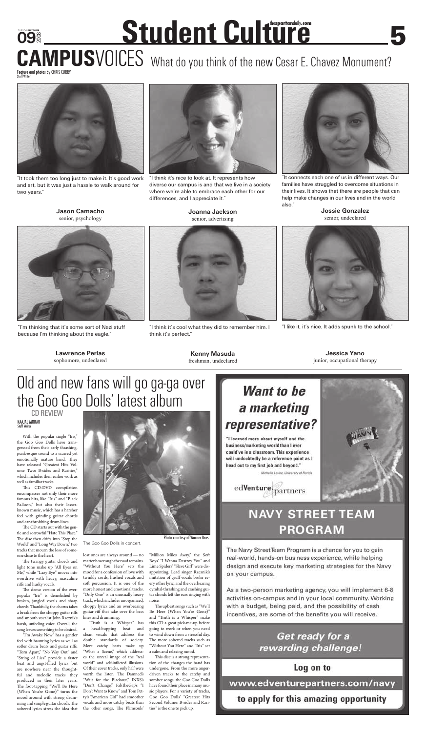With the popular single "Iris," the Goo Goo Dolls have transgressed from their early thrashing, punk-esque sound to a scarred yet emotionally mature band. They have released "Greatest Hits Volume Two: B-sides and Rarities," which includes their earlier work as well as familiar tracks.

This CD-DVD compilation encompasses not only their more famous hits, like "Iris" and "Black Balloon," but also their lesserknown music, which has a harsher feel with grinding guitar chords and ear-throbbing drum lines.

The CD starts out with the gentle and sorrowful "Hate This Place." The disc then drifts into "Stop the World" and "Long Way Down," two tracks that mourn the loss of someone close to the heart.

The twangy guitar chords and light tone make up "All Eyes on Me," while "Lazy Eye" moves into overdrive with heavy, masculine riffs and husky vocals.

The demo version of the everpopular "Iris" is demolished by broken, jangled vocals and sharp chords. Thankfully, the chorus takes a break from the choppy guitar riffs and smooth vocalist John Rzeznik's harsh, unfeeling voice. Overall, the song leaves something to be desired.

"Truth is a Whisper" has a head-bopping beat and clean vocals that address the double standards of society. More catchy beats make up "What a Scene," which addresses the unreal image of the "real world" and self-inflicted illusions. Of their cover tracks, only half were worth the listen. The Damned's "Wait for the Blackout," INXS's "Don't Change," FabTheGap's "I Don't Want to Know" and Tom Petty's "American Girl" had smoother vocals and more catchy beats than the other songs. The Plimsouls'

"I'm Awake Now" has a gentler feel with haunting lyrics as well as softer drum beats and guitar riffs. "Torn Apart," "No Way Out" and "String of Lies" provide a faster beat and angst-filled lyrics but are nowhere near the thoughtful and melodic tracks they produced in their later years. The foot-tapping "We'll Be Here (When You're Gone)" turns the mood around with strong drumming and simple guitar chords. The sobered lyrics stress the idea that



The upbeat songs such as "We'll Be Here (When You're Gone)" and "Truth is a Whisper" make this CD a great pick-me-up before going to work or when you need to wind down from a stressful day. The more sobered tracks such as "Without You Here" and "Iris" set a calm and relaxing mood.

This disc is a strong representation of the changes the band has undergone. From the more angerdriven tracks to the catchy and somber songs, the Goo Goo Dolls have found their place in many music players. For a variety of tracks, Goo Goo Dolls' "Greatest Hits Second Volume: B-sides and Rarities" is the one to pick up.

## representative?

**Want to be** 

a marketing

"I learned more about myself and the business/marketing world than I ever could've in a classroom. This experience will undoubtedly be a reference point as I head out to my first job and beyond."



edVenture: partners



## **NAVY STREET TEAM PROGRAM**

The Navy Street Team Program is a chance for you to gain real-world, hands-on business experience, while helping design and execute key marketing strategies for the Navy on your campus.

As a two-person marketing agency, you will implement 6-8 activities on-campus and in your local community. Working with a budget, being paid, and the possibility of cash incentives, are some of the benefits you will receive.

## Get ready for a rewarding challenge!

## Log on to

www.edventurepartners.com/navy

to apply for this amazing opportunity

lost ones are always around — no matter how rough the road remains. "Without You Here" sets the mood for a confession of love with twinkly cords, hushed vocals and soft percussion. It is one of the more honest and emotional tracks. "Only One" is an unusually heavy track, which includes unorganized, choppy lyrics and an overbearing guitar riff that take over the bass lines and drumming.

"Million Miles Away," the Soft Boys' "I Wanna Destroy You" and Lime Spiders' "Slave Girl" were disappointing. Lead singer Rzeznik's imitation of gruff vocals broke every other lyric, and the overbearing cymbal-thrashing and crashing guitar chords left the ears ringing with noise.

KAAJAL MORAR

#### Staff Writer

**Jason Camacho** senior, psychology





"It took them too long just to make it. It's good work and art, but it was just a hassle to walk around for two years."

**Joanna Jackson**

"I think it's nice to look at. It represents how diverse our campus is and that we live in a society where we're able to embrace each other for our differences, and I appreciate it."

> **Jossie Gonzalez** senior, undeclared

## Old and new fans will go ga-ga over the Goo Goo Dolls' latest album CD REVIEW

## Student Culture 5 the**spartan**daily**.com** TUESDAYSEPTEMBER

## **CAMPUS**VOICES What do you think of the new Cesar E. Chavez Monument? Feature and photos by CHRIS CURRY



"I think it's cool what they did to remember him. I think it's perfect."



"It connects each one of us in different ways. Our families have struggled to overcome situations in their lives. It shows that there are people that can help make changes in our lives and in the world also."

**Lawrence Perlas** sophomore, undeclared



"I'm thinking that it's some sort of Nazi stuff because I'm thinking about the eagle."

**Kenny Masuda** freshman, undeclared

Photo courtesy of Warner Bros.

The Goo Goo Dolls in concert.

**Jessica Yano** junior, occupational therapy



"I like it, it's nice. It adds spunk to the school."

Staff Writer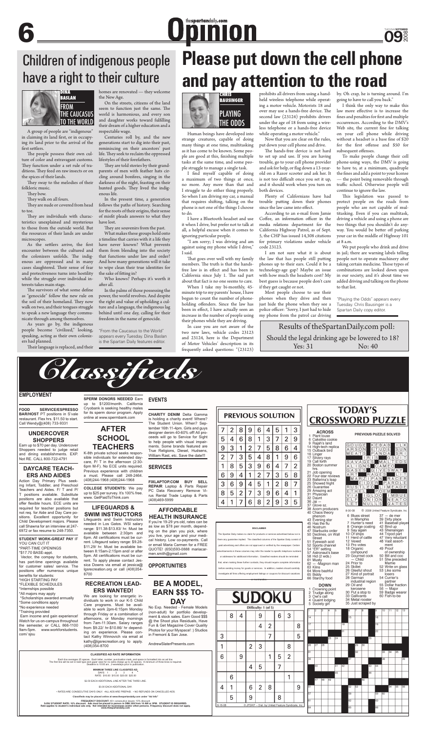

### **EMPLOYMENT**

**FOOD SERVICE/ESPRESSO BAR/HOST** PT positions in S'vale restaurant. Flex hrs. \$11.50 to start. Call Wendy@(408) 733-9331

### **UNDERCOVER SHOPPERS**

Earn up to \$70 per day. Undercover Shoppers needed to judge retail and dining establishments. EXP. Not RE. CALL 800-722-4791

### **DAYCARE TEACH-ERS AND AIDES**

### **STUDENT WORK-GREAT PAY** IF YOU CAN CUT IT

\*PART-TIME OPENINGS \*\$17.70 BASE-appt. Vector, the compay for students, has part-time openings available for customer sales/ service. The positions offer numerous unique benefits for students: \*HIGH STARTING PAY \*FLEXIBLE SCHEDULES \*Internships possible \*All majors may apply \*Scholarships awarded annually \*Some conditions apply \*No experience needed \*Training provided Earn income and gain experience! Watch for us on-campus throughout the semester, or CALL 866-1100 9am-5pm. www.workforstudents. com/ sisu

Action Day Primary Plus seeking Infant, Toddler, and Preschool Teachers and Aides. F/ T and P/ T positions available. Substitute positions are also available that offer flexible hours. ECE units are required for teacher positions but not req. for Aide and Day Care positions. Excellent opportunity for Child Development majors. Please call Shawna for an interview at 247- 6972 or fax resume to 248-7350.

#### **SPERM DONORS NEEDED Earn** up to \$1200/month. California Cryobank is seeking healthy males

tember 16th 11-4pm. Girls and guys designer denim 40-60% off! All proceeds will go to Service for Sight to help people with visual impairments. Some brands featured are True Religions, Diesel, Hudsens, William Rast, etc. Save the date!!!

online at www.spermbank.com

### **AFTER SCHOOL TEACHERS**

K-8th private school seeks responsible individuals for extended daycare, P/ T in the afternoon (2:30- 6pm M-F). No ECE units required. Previous experience with children a must. Please call 248-2464. (408)244-1968 (408)244-1968

**COLLEGE STUDENTS:** We pay up to \$25 per survey. It's 100% free. www. GetPaidToThink.com

#### **LIFEGUARDS & SWIM INSTRUCTORS** Lifeguards and Swim Instructors

needed in Los Gatos. WSI salary range: \$11.38-\$13.83/ hr. Must be available between 2:30pm and 6pm. All certifications must be current. Lifegaurd salary range: \$9.28- \$11.29/ hr. Must be available between 8:15am-2:15pm and/ or after 5pm. All certifications must be current. To apply please contact Jessica Downs via email at jessica@ lgsrecreation.org or call (408)354- 8700

for its sperm donor program. Apply **CHARITY DENIM** Delta Gamma is holding a charity event! Where? The Student Union. When? Sep-

### **RECREATION LEAD-ERS WANTED!**

We are looking for energetic individuals to work in our K-5 Child Care programs. Must be available to work 2pm-6:15pm Monday through Friday or a combination of afternoons, or Monday mornings from 7am-11:30am. Salary ranges from \$9.22/ hr-\$10.86/ hr depending on experience. Please contact Kathy Winnovich via email at kathy@lgsrecreation.org to apply. (408)354-8700

**EVENTS**

**PREVIOUS SOLUTION** 



M A

I find myself capable of doing a maximum of two things at once, no more. Any more than that and I struggle to do either thing properly. So when I am driving my car, a manual that requires shifting, talking on the phone is not one of the things I choose to do.

### **SERVICES**

**FIXLAPTOP.COM BUY SELL REPAIR** Laptop & Parts Repair PC Data Recovery Remove Virus Rental Trade Laptop & Parts (408)469-5999

That goes over well with my family members. The truth is that the handsfree law is in effect and has been in California since July 1. The sad part about that fact is no one seems to care.

### **AFFORDABLE HEALTH INSURANCE**

If you're 19-29 yrs old, rates can be as low as \$78 per month, depending on the plan you pick, where you live, your age and your medical history. Low co-payments. Call or email Maria Carmen for a FREE QUOTE! (650)593-0888 mariacarmen.smith@gmail.com

### **OPPORTUNITIES**

## **BE A MODEL, EARN \$\$\$ TO-DAY**

No Exp. Needed - Female Models (non-adult) for portfolio development & stock sales. Earn Good \$\$\$ @ the Shoot plus Residuals, Have Fun & Get Magazine Cover Quality Photos for your Myspace! :) Studios in Fremont & San Jose.

The hands-free device is not hard to set up and use. If you are having trouble, go to your cell phone provider and ask for help, or flag down a 13-yearold on a Razor scooter and ask her. It is not too difficult once you set it up, and it should work when you turn on both devices.

Plenty of Californians have had trouble putting down their phones since the law came into effect.

AndrewSlaterPresents.com

#### **CLASSIFIED AD RATE INFORMATION**

Each line averages 25 spaces. Each letter, number, punctuation mark, and space is formatted into an ad line.<br>The first line will be set in bold type and upper case for no extra charge up to 20 spaces. A minimum of three li

**MINIMUM THREE LINE CLASSIFIED AD**: DAYS: 1 2 3 4 RATE: \$10.00 \$15.00 \$20.00 \$25.00

I think the only way to make this law more effective is to increase the fines and penalties for first and multiple occurrences. According to the DMV's Web site, the current fine for talking on your cell phone while driving without a headset is a base fine of \$20 for the first offense and \$50 for subsequent offenses.

\$2.50 EACH ADDITIONAL LINE AFTER THE THIRD LINE.

\$3.00 EACH ADDITIONAL DAY.

• RATES ARE CONSECUTIVE DAYS ONLY. •ALL ADS ARE PREPAID. • NO REFUNDS ON CANCELLED ADS.

**Classifieds may be placed online at www.thespartandaily.com under "Ad Info"**

FREQUENCY DISCOUNT: 40s mail of the consecutive issues: 10% discount: 405 mil.<br>SJSU STUDENT ID REQUIRED. Ads must be placed in person in DBH 209 from 10 AM or 3PM. STUDENT ID REQUIRED.<br>Rate applies to student's individual

|                | $\overline{2}$ | 8              | 9              | 6              | 4              | 5              |                | З              |
|----------------|----------------|----------------|----------------|----------------|----------------|----------------|----------------|----------------|
| 5              | 4              | 6              | 8              | 1              | 3              | 7              | $\overline{2}$ | 9              |
| 9              | 3              |                | $\overline{2}$ | 7              | 5              | 8              | 6              | 4              |
| $\overline{2}$ |                | 3              | 5              | 4              | 8              | 1              | 9              | 6              |
|                | 8              | 5              | 3              | 9              | 6              | 4              | 7              | $\overline{2}$ |
| 6              | 9              | 4              |                | $\overline{2}$ | 7              | 3              | 5              | 8              |
| 3              | 6              | 9              | 4              | 5              | 1              | $\overline{2}$ | 8              | 7              |
| 8              | 5              | $\overline{2}$ |                | 3              | 9              | 6              | 4              |                |
| 4              |                |                | 6              | 8              | $\overline{2}$ | 9              | 3              | 5              |

This legislation was passed to protect people on the roads from people who are not capable of multitasking. Even if you can multitask, driving a vehicle and using a phone are two things that you shouldn't do anyway. You would be better off parking your car in the middle of Highway 101 at 8 a.m.

Results of theSpartanDaily.com poll: Should the legal drinking age be lowered to 18?  $Yes: 31$  No:  $40$ 

A group of people are "indigenous" in claiming its land first, or in occupying its land prior to the arrival of the first settlers.

| <b>DISCLAIMER</b>                                                                    |  |  |  |  |  |  |  |
|--------------------------------------------------------------------------------------|--|--|--|--|--|--|--|
| The Spartan Daily makes no claim for products or services advertised below nor is    |  |  |  |  |  |  |  |
| there any quarantee implied. The classified columns of the Spartan Daily consist of  |  |  |  |  |  |  |  |
| paid advertising and offers are not approved or verified by the newspaper. Certain   |  |  |  |  |  |  |  |
| advertisements in these columns may refer the reader to specific telephone numbers   |  |  |  |  |  |  |  |
| or addresses for additional information. Classified readers should be reminded       |  |  |  |  |  |  |  |
| that, when making these further contacts, they should require complete information   |  |  |  |  |  |  |  |
| before sending money for goods or services. In addition, readers should carefully    |  |  |  |  |  |  |  |
| investigate all firms offering employment listings or coupons for discount vacations |  |  |  |  |  |  |  |
|                                                                                      |  |  |  |  |  |  |  |

The people possess their own culture of color and extravagant customs. They function under a set rule of traditions. They feed on raw insects or on the spices of their lands.

They sway to the melodies of their folkloric music.

They bow.

They walk on all fours.

They are nude or covered from head to toe.

They are individuals with characteristics unexplained and mysterious to those from the outside world. But the resources of their lands are under microscopes.

As the settlers arrive, the first encounter between the cultured and the colonizers unfolds. The indigenous are oppressed and in many cases slaughtered. Their sense of fear and protectiveness turns into hostility while the struggle over individual interests takes main stage.

or merchandise.



| <b>ACROSS</b><br>1 Plant louse | <b>PREVIOUS PUZZLE SOLVED</b> |
|--------------------------------|-------------------------------|
|                                |                               |

6 Cakelike cookie 9 Raiah's land 14 High-tech replica 15 Outback bird 16 Linger 17 Silvery rays<br>19 Call forth 20 Boston summer hrs. 21 Job opening 22 Four-star reviews 23 Ballerina's leap 25 Showed fright 26 Guarantee **RUS** 29 Amazing act 31 Physician 32 Daunt 36 Jai -37 Glove sz. 38 Acorn producers 8-30-08 40 Chaos theory phenom 43 Evening star<br>45 Has the flu 46 Nostrum Starbucks order 50 Declines, on Wall 10 Of ships Street 51 Eyewash acid 12 Vexed 52 Sports channel 54 "ER" setting 18 Organic 57 Astronaut's base 58 Hid (2 wds.)  $61$  Musty<br> $62 -$ Magnon man 24 Prior to 63 Kilns 25 Skillet 64 More bashful 65 Biddy 66 Starchy food 28 German

**DOWN** 



TUDE

INID.

AMF

TED

Quaint lodging 35 Just scraped by



The survivors of what some define as "genocide" follow the new rule on the soil of their homeland. They now walk on two, and their tongues struggle to speak a new language they communicate through among themselves.

Human beings have developed into strange creatures, capable of doing many things at one time, multitasking as it has come to be known. Some people are good at this, finishing multiple tasks at the same time, and some people struggle to manage a single task.

They are told stories by their grandparents of men with feather hats circling around bonfires, singing in the darkness of the night, feasting on their hunted goods. They lived the indigenous life.

> I have a Bluetooth headset and use it when I drive, but prefer not to talk at all, a helpful excuse when it comes to ignoring particular people.

> "I am sorry; I was driving and am against using my phone while I drive," I said.

Who knows? Perhaps it's worth it after all.

When I take my bi-monthly, 45 minute trip to my parents' house, I have begun to count the number of phoneholding offenders. Since the law has been in effect, I have actually seen an increase in the number of people using their phones while they are driving.

In case you are not aware of the two new laws, vehicle codes 23123 and 23124, here is the Department of Motor Vehicles' description in its frequently asked questions: "(23123)

prohibits all drivers from using a handheld wireless telephone while operating a motor vehicle. Motorists 18 and over may use a hands-free device. The second law (23124) prohibits drivers under the age of 18 from using a wireless telephone or a hands-free device while operating a motor vehicle."

Now that you are clear on the rules, put down your cell phone and drive.

According to an e-mail from Jamie Coffee, an information officer in the media relations department for the California Highway Patrol, as of Sept. 5, the CHP has issued 14,308 citations for primary violations under vehicle code 23123.

I am not sure what it is about the law that has people still putting phones up to their ears. Could it be a technology-age gap? Maybe an issue with how much the headsets cost? My best guess is because people don't care if they get caught or not.

Most people choose to use their phones when they drive and then just hide the phone when they see a police officer: "Sorry, I just had to hide my phone from the patrol car driving

by. Oh crap, he is turning around. I'm going to have to call you back."

To make people change their cell phone-using ways, the DMV is going to have to, at a minimum, quadruple the fines and add a point to your license — the point being removable through traffic school. Otherwise people will continue to ignore the law.

We put people who drink and drive in jail; there are warning labels telling people not to operate machinery after taking certain medicine. These types of combinations are looked down upon in our society, and it's about time we added driving and talking on the phone to that list.



"Playing the Odds" appears every Tuesday. Chris Bausinger is a Spartan Daily copy editor.

## **Please put down the cell phone and pay attention to the road**

As years go by, the indigenous people become "civilized," looking, speaking, acting as their own colonizers had planned.

Their language is replaced, and their

homes are renovated — they welcome the New Age.

On the streets, citizens of the land seem to function just the same. The world is harmonious, and every son and daughter works toward fulfilling their dream of a higher education and a respectable wage.

Centuries roll by, and the new generations start to dig into their past, reminiscing on their ancestors' past life. They seek to reclaim the oppressed lifestyles of their forefathers.

In the present time, a generation follows the paths of history. Searching for the roots of their origins, their sense of misfit pleads answers to what they have lost.

They are souvenirs from the past. What makes these groups hold onto a timeline that carries with it a life they have never known? What prevents them from blending into the society that functions under law and order? And how many generations will it take to wipe clean their true identities for the sake of fitting in?

In the palms of those possessing the power, the world revolves. And despite the right and value of upholding a culture and a language, the indigenous lag behind until one day, calling for their freedom in the name of genocide.

"From the Caucasus to the World" appears every Tuesday. Dina Baslan is the Spartan Daily features editor.



## Children of indigenous people have a right to their culture

# **ODDDD**

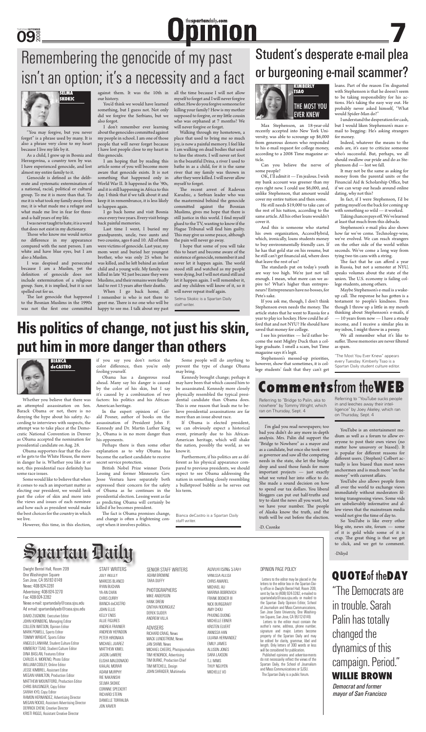DAVID ZUGNONI, Executive Editor JOHN HORNBERG, Managing Editor COLLEEN WATSON, Opinion Editor MARK POWELL, Sports Editor TOMMY WRIGHT, Sports Editor ANGELO LANHAM, Student Culture Editor KIMBERLY TSAO, Student Culture Editor DINA BASLAN, Features Editor CARLOS A. MORENO, Photo Editor WILLIAM COOLEY, Online Editor JESSE KIMBREL, Assistant Editor MEGAN HAMILTON, Production Editor MATTHEW MOUNTFORD, Production Editor CHRIS BAUSINGER, Copy Editor SARAH KYO, Copy Editor RAMON HERNANDEZ, Advertising Director MEGAN ROCKO, Assistant Advertising Director DERRICK CHEW, Creative Director KRISTI RIGGS, Assistant Creative Director

## OPINION PAGE POLICY

Letters to the editor may be placed in the

PHOTOGRAPHERS MIKE ANDERSON HANK DREW CINTHIA RODRIGUEZ DEREK SIJDER ANDREW VILLA SENIOR STAFF WRITERS ADAM BROWNE TARA DUFFY ADVISERS RICHARD CRAIG, News MACK LUNDSTROM, News JAN SHAW, News MICHAEL CHEERS, Photojournalism TIM HENDRICK, Advertising TIM BURKE, Production Chief TIM MITCHELL, Design

letters to the editor box in the Spartan Daily office in Dwight Bentel Hall, Room 209, sent by fax to (408) 924-3282, e-mailed to spartandaily@casa.sjsu.edu or mailed to the Spartan Daily Opinion Editor, School of Journalism and Mass Communications, San Jose State University, One Washington Square, San Jose, CA 95112-0149. Letters to the editor must contain the author's name, address, phone number, signature and major. Letters become property of the Spartan Daily and may be edited for clarity, grammar, libel and length. Only letters of 300 words or less will be considered for publication. Published opinions and advertise-ments do not necessarily reflect the views of the Spartan Daily, the School of Journalism and Mass Communications or SJSU. The Spartan Daily is a public forum.

Genocide is defined as the deliberate and systematic extermination of a national, racial, political or cultural group. To me it is more than that. To me it is what took my family away from me; it is what made me a refugee and what made me live in fear for threeand-a-half years of my life.

Those who know me would notice no difference in my appearance compared with the next person. I am white and have blue eyes, but I am also a Muslim.

to the Bosnian Muslims in the 1990s was not the first one committed

> STAFF WRITERS JOEY AKELEY MARCOS BLANCO RYAN BUCHAN YA-AN CHAN CHRIS CURRY BIANCA deCASTRO JOHN ELLIS KELLY ENOS ALLIE FIGURES ANDREA FRAINIER ANDREW HERNDON PETER HIRONAKA MICHAEL JUAREZ MATTHEW KIMEL JASON LeMIERE ELISHA MALDONADO KAAJAL MORAR ADAM MURPHY RIE NAKANISHI SELMA SKOKIC CORINNE SPECKERT RICHARD STERN DANIELLE TORRALBA

> > JON XAVIER

Last time I went, I buried my grandparents, uncle, two aunts and two cousins, ages 6 and 10. All of them were victims of genocide. Last year, my mom went and buried her youngest brother, who was only 25 when he was killed, and he left behind an infant child and a young wife. My family was killed in late '92 just because they were Muslims, and their remains were finally laid to rest 13 years after their deaths.

JOHN SHRADER, Multimedia

#### ADVERTISING STAFF VANESSA ALESSI CHRIS AMAREL

MICHAEL AU MARINA BOBROVICH FRANK BOOKER III NICK BURGGRAFF AMY CHOU PHUONG DUONG MICHELLE EBNER KRISTEN ELVERT ANNISSA HAN LILIANA HERNANDEZ EMILY JAMES ALLISON JONES SARA LAXSON T.J. MIMS THUY NGUYEN MICHELLE VO

The last genocide that happened I remember is who is not there to When I go back home, all greet me. There is no one who will be happy to see me. I talk about my past

## TUESDAY**SEPTEMBER 09** 2008

# **Ophispartandaily.com**

"You may forgive, but you never forget" is a phrase used by many. It is also a phrase very close to my heart because I live my life by it.

As a child, I grew up in Bosnia and Herzegovina, a country torn by war. I have experienced genocide, and lost almost my entire family to it.

> The recent arrest of Radovan Karadzic, a Serbian leader who was the mastermind behind the genocide committed against the Bosnian Muslims, gives me hope that there is still justice in this world. I find myself glued to the TV, wanting to know if the Hague Tribunal will find him guilty. This may give us some peace, although the pain will never go away.

I was never taught to hate; it is a word that does not exist in my dictionary.

֚֚֚֚֚֚֚֚ Whether you believe that there was an attempted assassination on Sen. Barack Obama or not, there is no denying the hype about his safety. According to interviews with suspects, the

attempt was to take place at the Democratic National Convention in Denver as Obama accepted the nomination for presidential candidate on Aug. 28.

I was despised and persecuted because I am a Muslim, yet the definition of genocide does not include extermination of a religious group. Sure, it is implied, but it is not spelled out for us.

> color difference, then you're only fooling yourself.

against them. It was the 10th in our history.

You'd think we would have learned something, but I guess not. Not only did we forgive the Serbians, but we also forgot.

I don't remember ever learning about the genocides committed against my people in school. I am one of those people that will never forget because I have lost people close to my heart in this genocide.

The fact is Obama promises change, and change is often a frightening concept when it involves politics.

I am hoping that by reading this article some of you will become more aware that genocide exists. It is not something that happened only in World War II. It happened in the '90s, and it is still happening in Africa to this day. I think that if we talk about it and keep it in remembrance, it is less likely to happen again.

I go back home and visit Bosnia once every two years. Every visit brings back painful memories.

> The standards put on today's youth are way too high. We're just not tall enough. I mean, what more can we aspire to? What's higher than entrepreneurs? Entrepreneurs have no bosses, for Pete's sake.

all the time because I will not allow myself to forget and I will never forgive either. How do you forgive someone for killing your family? How is my mother supposed to forgive, or my little cousin who was orphaned at 7 months? We will never forgive or forget.

Walking through my hometown, a place that used to bring me so much joy, is now a painful memory. I feel like I am walking on dead bodies that used to line the streets. I will never set foot in the beautiful Drina, a river I used to bathe in as a child, for it is the same river that my family was thrown in after they were killed. I will never allow myself to forget.

> Taking chances pays off. We've learned at least that much from this debacle.

The fact that he can afford a year in Russia, but not a semester at NYU, speaks volumes about the state of the union. The U.S. economy is failing college students, among others.

I hope that some of you will take this to heart and become aware of the existence of genocide, remember it and never let it happen again. The world stood still and watched as my people were dying, but I will not stand still and let it happen again. I will remember it, and my children will know of it, so it will never repeat itself again.

## Remembering the genocide of my past isn't an option; it's a necessity and a fact

YouTube is an entertainment medium as well as a forum to allow everyone to post their own views (no matter how unsavory or biased). It is popular for different reasons for different users. (Stephen) Colbert actually is less biased than most news anchormen and is much more "on the money" with current affairs.

Obama supporters fear that the closer he gets to the White House, the more in danger he is. Whether you like it or not, this presidential race definitely has some race issues.

Some would like to believe that when it comes to such an important matter as electing our president, we would look past the color of skin and more into the views and issues of each nominee and how each as president would make the best choices for the country in which we live.

## 7 Student's desperate e-mail plea or burgeoning e-mail scammer?

News: 408-924-3281 Advertising: 408-924-3270 Fax: 408-924-3282 News e-mail: spartandaily@casa.sjsu.edu Ad e-mail: spartandailyads@casa.sjsu.edu Dwight Bentel Hall, Room 209 One Washington Square San Jose, CA 95192-0149 One WashingtonSquare <sup>O</sup>

However, this time, in this election,

Obama has a dangerous road ahead. Many say his danger is caused by the color of his skin, but I say it's caused by a combination of two factors: his politics and his African-American heritage.

In the expert opinion of Gerald Posner, author of books on the assassination of President John F. Kennedy and Dr. Martin Luther King Jr., Obama is in no more danger than his opponents.

Perhaps there is then some other explanation as to why Obama has become the earliest candidate to receive secret service protection.

British Nobel Prize winner Doris Lessing and former Minnesota Gov. Jesse Ventura have separately both expressed their concern for the safety of Obama as he continues in the presidential election. Lessing went as far as predicting Obama will certainly be killed if he becomes president.

Some people will do anything to prevent the type of change Obama may bring.

Kennedy brought change; perhaps it may have been that which caused him to be assassinated. Kennedy more closely physically resembled the typical presidential candidate than Obama does. This is one reason that leads me to believe presidential assassinations are far more than an issue about race.

If Obama is elected president,

we can obviously expect a historical event, primarily due to his African-American heritage, which will shake the nation, possibly the world, as we know it.

Furthermore, if his politics are as different as his physical appearance compared to previous presidents, we should expect to see Obama addressing the nation in something closely resembling a bulletproof bubble as he serves out his term.

Max Stephenson, an 18-year-old recently accepted into New York University, was able to scrounge up \$6,000 from generous donors who responded to his e-mail request for college money, according to a 2008 Time magazine article.

Can you believe the nerve of some people?

OK, I'll admit it — I'm jealous. I wish my bank account was greener than my eyes right now. I could use \$6,000, and, unlike Stephenson, that amount would cover my entire tuition and then some.

He still needs \$19,000 to take care of the rest of his tuition, according to the same article. All his other loans wouldn't cover it.

And this is someone who started his own organization, AccessHybrid, which, ironically, loans students money to buy environmentally friendly cars. If he has that gold star on his resume, but he still can't get financial aid, where does that leave the rest of us?

If you ask me, though, I don't think Stephenson even needs the money. The article states that he went to Russia for a year to play ice hockey. How could he afford that and not NYU? He should have saved that money for college.

I see his priorities — he'd rather become the next Mighty Duck than a college graduate. I smell a scam, but Time magazine says it's legit.

Stephenson's messed-up priorities, however, show that sometimes, it is college students' fault that they can't get





I understand the desperation for cash, but I would liken Stephenson's mass email to begging: He's asking strangers for money.

Indeed, whatever the means to the ends are, it's easy to criticize someone who's successful. But, perhaps, we all should swallow our pride and do as Stephenson did — lest we fall.

It may not be the same as asking for money from the parental units or the Financial Aid & Scholarship Office, but if we can wrap our heads around online dating, why not this?

In fact, if I were Stephenson, I'd be patting myself on the back for coming up with something so wild — it worked.

Stephenson's e-mail plea also shows how far we've come. Technology-wise, we've evolved. We can reach strangers on the other side of the world within seconds. We've come a long way from tying two tin cans with a string.

Maybe Stephenson's e-mail is a wakeup call. The response he has gotten is a testament to people's kindness. Even though I throw up a little in my mouth thinking about Stephenson's e-mails, if — 10 years from now — I have a steady income, and I receive a similar plea in my inbox, I might throw in a penny.

We all remember what it's like to suffer. Those memories are never filtered as spam.





"The Most You Ever Knew" appears every Tuesday. Kimberly Tsao is a Spartan Daily student culture editor.

Referring to "Bridge to Palin, aka to nowhere" by Tommy Wright, which ran on Thursday, Sept. 4

Referring to "YouTube sucks people in and leeches away their intelligence" by Joey Akeley, which ran on Thursday, Sept. 4

Selma Skokic is a Spartan Daily staff writer.



**QUOTE**of the**DAY** "The Democrats are in trouble. Sarah Palin has totally changed the dynamics of this campaign. Period." **WILLIE BROWN**

*Democrat and former mayor of San Francisco* 

## Spartan Daily

I'm glad you read newspapers; too bad you didn't do any more in-depth analysis. Mrs. Palin did support the "Bridge to Nowhere" as a mayor and as a candidate, but once she took over as governor and saw all the competing needs in the state, she let the bridge drop and used those funds for more important projects — just exactly what we voted her into office to do. She made a sound decision on how to spend our tax dollars. You liberal bloggers can put out half-truths and try to slant the news all you want, but we have your number. The people of Alaska know the truth, and the truth will be out before the election.

-D. Czonke

YouTube also allows people from all over the world to exchange views immediately without moderators filtering transgressing views. Some vids are unbelievably informative and allow views that the mainstream media would not give the time of day to.

So YouTube is like every other blog site, news site, forum — some of it is gold while some of it is crap. The great thing is that we get to click, and we get to comment.

-Diliyd



Bianca deCastro is a Spartan Daily staff writer.